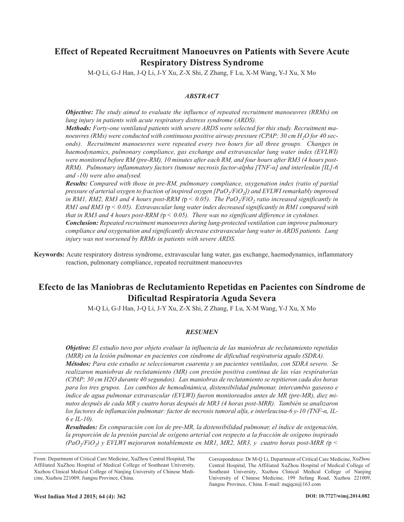# **Effect of Repeated Recruitment Manoeuvres on Patients with Severe Acute Respiratory Distress Syndrome**

M-Q Li, G-J Han, J-Q Li, J-Y Xu, Z-X Shi, Z Zhang, F Lu, X-M Wang, Y-J Xu, X Mo

# *ABSTRACT*

*Objective: The study aimed to evaluate the influence of repeated recruitment manoeuvres (RRMs) on lung injury in patients with acute respiratory distress syndrome (ARDS).*

*Methods: Forty-one ventilated patients with severe ARDS were selected for this study. Recruitment ma*noeuvres (RMs) were conducted with continuous positive airway pressure (CPAP; 30 cm H<sub>2</sub>O for 40 sec*onds). Recruitment manoeuvres were repeated every two hours for all three groups. Changes in haemodynamics, pulmonary compliance, gas exchange and extravascular lung water index (EVLWI) were monitored before RM (pre-RM), 10 minutes after each RM, and four hours after RM3 (4 hours post-RRM). Pulmonary inflammatory factors (tumour necrosis factor-alpha [TNF-α] and interleukin [IL]-6 and -10) were also analysed.*

*Results: Compared with those in pre-RM, pulmonary compliance, oxygenation index (ratio of partial pressure of arterial oxygen to fraction of inspired oxygen [PaO2/FiO2]) and EVLWI remarkably improved in RM1, RM2, RM3 and 4 hours post-RRM (* $p < 0.05$ *). The PaO<sub>2</sub>/FiO<sub>2</sub> ratio increased significantly in RM1 and RM3 (*p *< 0.05). Extravascular lung water index decreased significantly in RM1 compared with that in RM3 and 4 hours post-RRM (*p *< 0.05). There was no significant difference in cytokines. Conclusion: Repeated recruitment manoeuvres during lung-protected ventilation can improve pulmonary compliance and oxygenation and significantly decrease extravascular lung water in ARDS patients. Lung injury was not worsened by RRMs in patients with severe ARDS.*

**Keywords:** Acute respiratory distress syndrome, extravascular lung water, gas exchange, haemodynamics, inflammatory reaction, pulmonary compliance, repeated recruitment manoeuvres

# **Efecto de las Maniobras de Reclutamiento Repetidas en Pacientes con Síndrome de Dificultad Respiratoria Aguda Severa**

M-Q Li, G-J Han, J-Q Li, J-Y Xu, Z-X Shi, Z Zhang, F Lu, X-M Wang, Y-J Xu, X Mo

## *RESUMEN*

*Objetivo: El estudio tuvo por objeto evaluar la influencia de las maniobras de reclutamiento repetidas (MRR) en la lesión pulmonar en pacientes con síndrome de dificultad respiratoria agudo (SDRA). Métodos: Para este estudio se seleccionaron cuarenta y un pacientes ventilados, con SDRA severo. Se realizaron maniobras de reclutamiento (MR) con presión positiva continua de las vías respiratorias (CPAP; 30 cm H2O durante 40 segundos). Las maniobras de reclutamiento se repitieron cada dos horas para los tres grupos. Los cambios de hemodinámica, distensibilidad pulmonar, intercambio gaseoso e índice de agua pulmonar extravascular (EVLWI) fueron monitoreados antes de MR (pre-MR), diez minutos después de cada MR y cuatro horas después de MR3 (4 horas post-MRR). También se analizaron los factores de inflamación pulmonar: factor de necrosis tumoral alfa, e interleucina-6 y-10 (TNF-α, IL-6 e IL-10).*

*Resultados: En comparación con los de pre-MR, la distensibilidad pulmonar, el índice de oxigenación, la proporción de la presión parcial de oxígeno arterial con respecto a la fracción de oxígeno inspirado (PaO2/FiO2) y EVLWI mejoraron notablemente en MR1, MR2, MR3, y cuatro horas post-MRR (*p *<*

From: Department of Critical Care Medicine, XuZhou Central Hospital, The Affiliated XuZhou Hospital of Medical College of Southeast University, Xuzhou Clinical Medical College of Nanjing University of Chinese Medicine, Xuzhou 221009, Jiangsu Province, China.

Correspondence: Dr M-Q Li, Department of Critical Care Medicine, XuZhou Central Hospital, The Affiliated XuZhou Hospital of Medical College of Southeast University, Xuzhou Clinical Medical College of Nanjing University of Chinese Medicine, 199 Jiefang Road, Xuzhou 221009, Jiangsu Province, China. E-mail: mqjqcn@163.com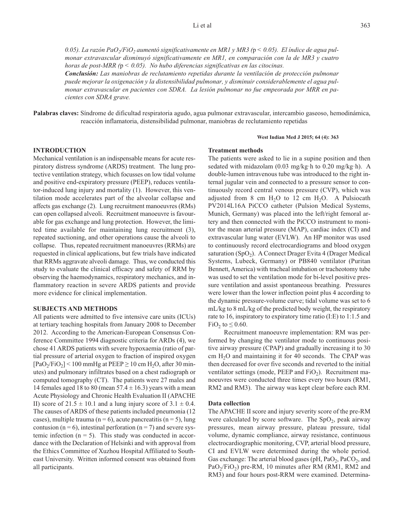0.05). La razón PaO<sub>2</sub>/FiO<sub>2</sub> aumentó significativamente en MR1 y MR3 ( $p < 0.05$ ). El índice de agua pul*monar extravascular disminuyó significativamente en MR1, en comparación con la de MR3 y cuatro horas de post-MRR (*p *< 0.05). No hubo diferencias significativas en las citocinas.*

*Conclusión: Las maniobras de reclutamiento repetidas durante la ventilación de protección pulmonar puede mejorar la oxigenación y la distensibilidad pulmonar, y disminuir considerablemente el agua pulmonar extravascular en pacientes con SDRA. La lesión pulmonar no fue empeorada por MRR en pacientes con SDRA grave.*

**Palabras claves:** Síndrome de dificultad respiratoria agudo, agua pulmonar extravascular, intercambio gaseoso, hemodinámica, reacción inflamatoria, distensibilidad pulmonar, maniobras de reclutamiento repetidas

#### **West Indian Med J 2015; 64 (4): 363**

# **INTRODUCTION**

Mechanical ventilation is an indispensable means for acute respiratory distress syndrome (ARDS) treatment. The lung protective ventilation strategy, which focusses on low tidal volume and positive end-expiratory pressure (PEEP), reduces ventilator-induced lung injury and mortality (1). However, this ventilation mode accelerates part of the alveolar collapse and affects gas exchange (2). Lung recruitment manoeuvres (RMs) can open collapsed alveoli. Recruitment manoeuvre is favourable for gas exchange and lung protection. However, the limited time available for maintaining lung recruitment (3), repeated suctioning, and other operations cause the alveoli to collapse. Thus, repeated recruitment manoeuvres (RRMs) are requested in clinical applications, but few trials have indicated that RRMs aggravate alveoli damage. Thus, we conducted this study to evaluate the clinical efficacy and safety of RRM by observing the haemodynamics, respiratory mechanics, and inflammatory reaction in severe ARDS patients and provide more evidence for clinical implementation.

#### **SUBJECTS AND METHODS**

All patients were admitted to five intensive care units (ICUs) at tertiary teaching hospitals from January 2008 to December 2012. According to the American-European Consensus Conference Committee 1994 diagnostic criteria for ARDs (4), we chose 41 ARDS patients with severe hypoxaemia (ratio of partial pressure of arterial oxygen to fraction of inspired oxygen  $[PaO<sub>2</sub>/FiO<sub>2</sub>]$  < 100 mmHg at PEEP  $\geq$  10 cm H<sub>2</sub>O, after 30 minutes) and pulmonary infiltrates based on a chest radiograph or computed tomography (CT). The patients were 27 males and 14 females aged 18 to 80 (mean  $57.4 \pm 16.3$ ) years with a mean Acute Physiology and Chronic Health Evaluation II (APACHE II) score of  $21.5 \pm 10.1$  and a lung injury score of  $3.1 \pm 0.4$ . The causes of ARDS of these patients included pneumonia (12 cases), multiple trauma ( $n = 6$ ), acute pancreatitis ( $n = 5$ ), lung contusion ( $n = 6$ ), intestinal perforation ( $n = 7$ ) and severe systemic infection  $(n = 5)$ . This study was conducted in accordance with the Declaration of Helsinki and with approval from the Ethics Committee of Xuzhou Hospital Affiliated to Southeast University. Written informed consent was obtained from all participants.

#### **Treatment methods**

The patients were asked to lie in a supine position and then sedated with midazolam (0.03 mg/kg·h to 0.20 mg/kg·h). A double-lumen intravenous tube was introduced to the right internal jugular vein and connected to a pressure sensor to continuously record central venous pressure (CVP), which was adjusted from 8 cm  $H_2O$  to 12 cm  $H_2O$ . A Pulsiocath PV2014L16A PiCCO catheter (Pulsion Medical Systems, Munich, Germany) was placed into the left/right femoral artery and then connected with the PiCCO instrument to monitor the mean arterial pressure (MAP), cardiac index (CI) and extravascular lung water (EVLW). An HP monitor was used to continuously record electrocardiograms and blood oxygen saturation  $(SpO<sub>2</sub>)$ . A Connect Drager Evita 4 (Drager Medical Systems, Lubeck, Germany) or PB840 ventilator (Puritan Bennett, America) with tracheal intubation or tracheotomy tube was used to set the ventilation mode for bi-level positive pressure ventilation and assist spontaneous breathing. Pressures were lower than the lower inflection point plus 4 according to the dynamic pressure-volume curve; tidal volume was set to 6 mL/kg to 8 mL/kg of the predicted body weight, the respiratory rate to 16, inspiratory to expiratory time ratio (I:E) to 1:1.5 and FiO<sub>2</sub> to  $\leq$  0.60.

Recruitment manoeuvre implementation: RM was performed by changing the ventilator mode to continuous positive airway pressure (CPAP) and gradually increasing it to 30 cm  $H<sub>2</sub>O$  and maintaining it for 40 seconds. The CPAP was then decreased for over five seconds and reverted to the initial ventilator settings (mode, PEEP and  $FiO<sub>2</sub>$ ). Recruitment manoeuvres were conducted three times every two hours (RM1, RM2 and RM3). The airway was kept clear before each RM.

#### **Data collection**

The APACHE II score and injury severity score of the pre-RM were calculated by score software. The  $SpO<sub>2</sub>$ , peak airway pressures, mean airway pressure, plateau pressure, tidal volume, dynamic compliance, airway resistance, continuous electrocardiographic monitoring, CVP, arterial blood pressure, CI and EVLW were determined during the whole period. Gas exchange: The arterial blood gases ( $pH$ ,  $PaO_2$ ,  $PaCO_2$ , and  $PaO<sub>2</sub>/FiO<sub>2</sub>$ ) pre-RM, 10 minutes after RM (RM1, RM2 and RM3) and four hours post-RRM were examined. Determina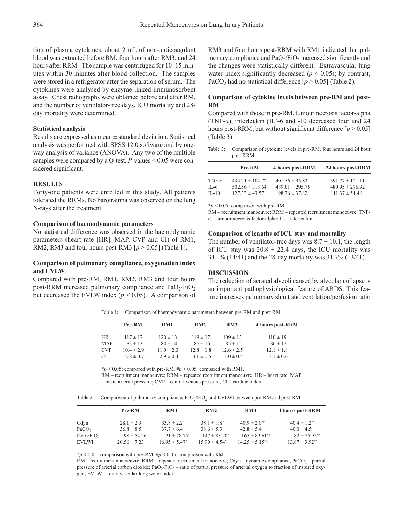tion of plasma cytokines: about 2 mL of non-anticoagulant blood was extracted before RM, four hours after RM3, and 24 hours after RRM. The sample was centrifuged for 10–15 minutes within 30 minutes after blood collection. The samples were stored in a refrigerator after the separation of serum. The cytokines were analysed by enzyme-linked immunosorbent assay. Chest radiographs were obtained before and after RM, and the number of ventilator-free days, ICU mortality and 28 day mortality were determined.

#### **Statistical analysis**

Results are expressed as mean ± standard deviation. Statistical analysis was performed with SPSS 12.0 software and by oneway analysis of variance (ANOVA). Any two of the multiple samples were compared by a Q-test. *P-*values < 0.05 were considered significant.

## **RESULTS**

Forty-one patients were enrolled in this study. All patients tolerated the RRMs. No barotrauma was observed on the lung X-rays after the treatment.

## **Comparison of haemodynamic parameters**

No statistical difference was observed in the haemodynamic parameters (heart rate [HR], MAP, CVP and CI) of RM1, RM2, RM3 and four hours post-RM3  $[p > 0.05]$  (Table 1).

## **Comparison of pulmonary compliance, oxygenation index and EVLW**

Compared with pre-RM, RM1, RM2, RM3 and four hours post-RRM increased pulmonary compliance and  $PaO<sub>2</sub>/FiO<sub>2</sub>$ but decreased the EVLW index  $(p < 0.05)$ . A comparison of RM3 and four hours post-RRM with RM1 indicated that pulmonary compliance and  $PaO<sub>2</sub>/FiO<sub>2</sub>$  increased significantly and the changes were statistically different. Extravascular lung water index significantly decreased ( $p < 0.05$ ); by contrast, PaCO<sub>2</sub> had no statistical difference  $[p > 0.05]$  (Table 2).

# **Comparison of cytokine levels between pre-RM and post-RM**

Compared with those in pre-RM, tumour necrosis factor-alpha (TNF- $\alpha$ ), interleukin (IL)-6 and -10 decreased four and 24 hours post-RRM, but without significant difference  $[p > 0.05]$ (Table 3).

Table 3: Comparison of cytokine levels in pre-RM, four hours and 24 hour post-RRM

|               | Pre-RM              | 4 hours post-RRM    | 24 hours post-RRM   |
|---------------|---------------------|---------------------|---------------------|
| TNF- $\alpha$ | $434.21 \pm 104.72$ | $401.56 \pm 95.83$  | $391.77 \pm 121.11$ |
| $IL-6$        | $502.56 \pm 318.64$ | $489.01 \pm 295.75$ | $480.95 \pm 276.92$ |
| $IL-10$       | $127.33 \pm 43.57$  | $98.76 \pm 37.82$   | $111.37 \pm 51.46$  |

\**p* < 0.05: comparison with pre-RM

RM – recruitment manoeuvre; RRM – repeated recruitment manoeuvre; TNF- $\alpha$  – tumour necrosis factor-alpha; IL – interleukin

#### **Comparison of lengths of ICU stay and mortality**

The number of ventilator-free days was  $8.7 \pm 10.1$ , the length of ICU stay was  $20.8 \pm 22.4$  days, the ICU mortality was 34.1% (14/41) and the 28-day mortality was 31.7% (13/41).

## **DISCUSSION**

The reduction of aerated alveoli caused by alveolar collapse is an important pathophysiological feature of ARDS. This feature increases pulmonary shunt and ventilation/perfusion ratio

Table 1**:** Comparison of haemodynamic parameters between pre-RM and post-RM

|            | Pre-RM         | RM1            | RM2            | RM <sub>3</sub> | 4 hours post-RRM |
|------------|----------------|----------------|----------------|-----------------|------------------|
|            |                |                |                |                 |                  |
| <b>HR</b>  | $117 \pm 17$   | $120 \pm 13$   | $118 \pm 17$   | $109 \pm 15$    | $110 \pm 19$     |
| MAP        | $83 \pm 13$    | $84 \pm 14$    | $86 \pm 16$    | $85 \pm 15$     | $86 \pm 12$      |
| <b>CVP</b> | $10.4 \pm 2.9$ | $11.9 \pm 2.3$ | $12.8 \pm 1.8$ | $12.6 \pm 2.5$  | $12.1 \pm 1.8$   |
| <b>CI</b>  | $2.8 \pm 0.7$  | $2.9 \pm 0.4$  | $3.1 \pm 0.5$  | $3.0 \pm 0.4$   | $3.1 \pm 0.6$    |

 $**p* < 0.05$ : compared with pre-RM.  $\#*p* < 0.05$ : compared with RM1.

RM – recruitment manoeuvre; RRM – repeated recruitment manoeuvre; HR – heart rate; MAP - mean arterial pressure; CVP - central venous pressure; CI - cardiac index

Table 2: Comparison of pulmonary compliance, PaO<sub>2</sub>/FiO<sub>2</sub> and EVLWI between pre-RM and post-RM

|                                    | Pre-RM           | RM1                | RM2                | RM <sub>3</sub>      | 4 hours post-RRM             |
|------------------------------------|------------------|--------------------|--------------------|----------------------|------------------------------|
| Cdyn                               | $28.1 \pm 2.3$   | $33.8 \pm 2.2^*$   | $38.1 \pm 1.8^*$   | $40.9 \pm 2.0^{*}$   | $40.4 \pm 1.2$ <sup>*#</sup> |
| PaCO <sub>2</sub>                  | $36.8 \pm 8.5$   | $37.7 \pm 6.4$     | $38.6 \pm 5.3$     | $42.8 \pm 5.4$       | $40.0 \pm 4.5$               |
| PaO <sub>2</sub> /FiO <sub>2</sub> | $98 \pm 54.26$   | $121 \pm 78.75^*$  | $147 \pm 85.20^*$  | $165 \pm 89.61^{*}$  | $182 \pm 75.95^{*}$          |
| EVLWI                              | $20.56 \pm 7.23$ | $16.95 \pm 5.47^*$ | $15.90 \pm 4.54^*$ | $14.25 \pm 5.15^{*}$ | $13.87 \pm 3.92^{*}$         |

 $*_p$  < 0.05: comparison with pre-RM,  $\#_p$  < 0.05: comparison with RM1

 $RM$  – recruitment manoeuvre;  $RRM$  – repeated recruitment manoeuvre; Cdyn – dynamic compliance; PaCO<sub>2</sub> – partial pressure of arterial carbon dioxide;  $PaO_2/FiO_2$  – ratio of partial pressure of arterial oxygen to fraction of inspired oxygen; EVLWI - extravascular lung water index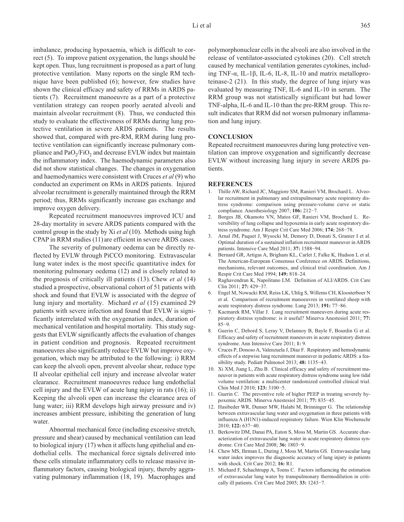imbalance, producing hypoxaemia, which is difficult to correct (5). To improve patient oxygenation, the lungs should be kept open. Thus, lung recruitment is proposed as a part of lung protective ventilation. Many reports on the single RM technique have been published (6); however, few studies have shown the clinical efficacy and safety of RRMs in ARDS patients (7). Recruitment manoeuvre as a part of a protective ventilation strategy can reopen poorly aerated alveoli and maintain alveolar recruitment (8). Thus, we conducted this study to evaluate the effectiveness of RRMs during lung protective ventilation in severe ARDS patients. The results showed that, compared with pre-RM, RRM during lung protective ventilation can significantly increase pulmonary compliance and  $PaO<sub>2</sub>/FiO<sub>2</sub>$  and decrease EVLW index but maintain the inflammatory index. The haemodynamic parameters also did not show statistical changes. The changes in oxygenation and haemodynamics were consistent with Cruces *et al* (9) who conducted an experiment on RMs in ARDS patients. Injured alveolar recruitment is generally maintained through the RRM period; thus, RRMs significantly increase gas exchange and improve oxygen delivery.

Repeated recruitment manoeuvres improved ICU and 28-day mortality in severe ARDS patients compared with the control group in the study by Xi *et al* (10). Methods using high CPAP in RRM studies (11) are efficient in severe ARDS cases.

The severity of pulmonary oedema can be directly reflected by EVLW through PiCCO monitoring. Extravascular lung water index is the most specific quantitative index for monitoring pulmonary oedema (12) and is closely related to the prognosis of critically ill patients (13). Chew *et al* (14) studied a prospective, observational cohort of 51 patients with shock and found that EVLW is associated with the degree of lung injury and mortality. Michard *et al* (15) examined 29 patients with severe infection and found that EVLW is significantly interrelated with the oxygenation index, duration of mechanical ventilation and hospital mortality. This study suggests that EVLW significantly affects the evaluation of changes in patient condition and prognosis. Repeated recruitment manoeuvres also significantly reduce EVLW but improve oxygenation, which may be attributed to the following: i) RRM can keep the alveoli open, prevent alveolar shear, reduce type II alveolar epithelial cell injury and increase alveolar water clearance. Recruitment manoeuvres reduce lung endothelial cell injury and the EVLW of acute lung injury in rats (16); ii) Keeping the alveoli open can increase the clearance area of lung water; iii) RRM develops high airway pressure and iv) increases ambient pressure, inhibiting the generation of lung water.

Abnormal mechanical force (including excessive stretch, pressure and shear) caused by mechanical ventilation can lead to biological injury (17) when it affects lung epithelial and endothelial cells. The mechanical force signals delivered into these cells stimulate inflammatory cells to release massive inflammatory factors, causing biological injury, thereby aggravating pulmonary inflammation (18, 19). Macrophages and

polymorphonuclear cells in the alveoli are also involved in the release of ventilator-associated cytokines (20). Cell stretch caused by mechanical ventilation generates cytokines, including TNF-α, IL-1β, IL-6, IL-8, IL-10 and matrix metalloproteinase-2 (21). In this study, the degree of lung injury was evaluated by measuring TNF, IL-6 and IL-10 in serum. The RRM group was not statistically significant but had lower TNF-alpha, IL-6 and IL-10 than the pre-RRM group. This result indicates that RRM did not worsen pulmonary inflammation and lung injury.

## **CONCLUSION**

Repeated recruitment manoeuvres during lung protective ventilation can improve oxygenation and significantly decrease EVLW without increasing lung injury in severe ARDS patients.

### **REFERENCES**

- 1. Thille AW, Richard JC, Maggiore SM, Ranieri VM, Brochard L. Alveolar recruitment in pulmonary and extrapulmonary acute respiratory distress syndrome: comparison using pressure-volume curve or static compliance. Anesthesiology 2007; **106:** 212−7.
- 2. Borges JB, Okamoto VN, Matos GF, Ranieri VM, Brochard L. Reversibility of lung collapse and hypoxemia in early acute respiratory distress syndrome. Am J Respir Crit Care Med 2006; **174:** 268−78.
- 3. Arnal JM, Paquet J, Wysocki M, Demory D, Donati S, Granier I et al. Optimal duration of a sustained inflation recruitment maneuver in ARDS patients. Intensive Care Med 2011; **37:** 1588−94.
- 4. Bernard GR, Artigas A, Brigham KL, Carlet J, Falke K, Hudson L et al. The American-European Consensus Conference on ARDS. Definitions, mechanisms, relevant outcomes, and clinical trial coordination. Am J Respir Crit Care Med 1994; **149:** 818‒24.
- 5. Raghavendran K, Napolitano LM. Definition of ALI/ARDS. Crit Care Clin 2011; **27:** 429−37.
- 6. Engel M, Nowacki RM, Reiss LK, Uhlig S, Willems CH, Kloosterboer N et al. Comparison of recruitment manoeuvres in ventilated sheep with acute respiratory distress syndrome. Lung 2013; **191:** 77−86.
- 7. Kacmarek RM, Villar J. Lung recruitment maneuvers during acute respiratory distress syndrome: is it useful? Minerva Anestesiol 2011; **77:** 85−9.
- 8. Guerin C, Debord S, Leray V, Delannoy B, Bayle F, Bourdin G et al. Efficacy and safety of recruitment maneuvers in acute respiratory distress syndrome. Ann Intensive Care 2011; **1:** 9.
- 9. Cruces P, Donoso A, Valenzuela J, Díaz F. Respiratory and hemodynamic effects of a stepwise lung recruitment maneuver in pediatric ARDS: a feasibility study. Pediatr Pulmonol 2013; **48:** 1135−43.
- 10. Xi XM, Jiang L, Zhu B. Clinical efficacy and safety of recruitment maneuver in patients with acute respiratory distress syndrome using low tidal volume ventilation: a multicenter randomized controlled clinical trial. Chin Med J 2010; **123:** 3100−5.
- 11. Guerin C. The preventive role of higher PEEP in treating severely hypoxemic ARDS. Minerva Anestesiol 2011; **77:** 835−45.
- 12. Hasibeder WR, Dunser MW, Halabi M, Brinninger G. The relationship between extravascular lung water and oxygenation in three patients with influenza A (H1N1)-induced respiratory failure. Wien Klin Wochenschr 2010; **122:** 637−40.
- 13. Berkowitz DM, Danai PA, Eaton S, Moss M, Martin GS. Accurate characterization of extravascular lung water in acute respiratory distress syndrome. Crit Care Med 2008; **36:** 1803−9.
- 14. Chew MS, Ihrman L, During J, Moss M, Martin GS. Extravascular lung water index improves the diagnostic accuracy of lung injury in patients with shock. Crit Care 2012; **16:** R1.
- 15. Michard F, Schachtrupp A, Toens C. Factors influencing the estimation of extravascular lung water by transpulmonary thermodilution in critically ill patients. Crit Care Med 2005; **33:** 1243−7.